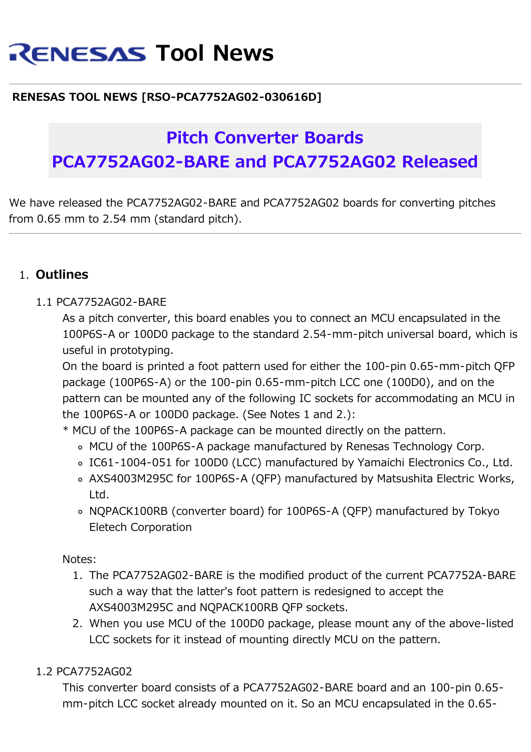# **RENESAS Tool News**

### **RENESAS TOOL NEWS [RSO-PCA7752AG02-030616D]**

## **Pitch Converter Boards PCA7752AG02-BARE and PCA7752AG02 Released**

We have released the PCA7752AG02-BARE and PCA7752AG02 boards for converting pitches from 0.65 mm to 2.54 mm (standard pitch).

#### 1. **Outlines**

#### 1.1 PCA7752AG02-BARE

As a pitch converter, this board enables you to connect an MCU encapsulated in the 100P6S-A or 100D0 package to the standard 2.54-mm-pitch universal board, which is useful in prototyping.

On the board is printed a foot pattern used for either the 100-pin 0.65-mm-pitch QFP package (100P6S-A) or the 100-pin 0.65-mm-pitch LCC one (100D0), and on the pattern can be mounted any of the following IC sockets for accommodating an MCU in the 100P6S-A or 100D0 package. (See Notes 1 and 2.):

\* MCU of the 100P6S-A package can be mounted directly on the pattern.

- MCU of the 100P6S-A package manufactured by Renesas Technology Corp.
- IC61-1004-051 for 100D0 (LCC) manufactured by Yamaichi Electronics Co., Ltd.
- AXS4003M295C for 100P6S-A (QFP) manufactured by Matsushita Electric Works, Ltd.
- NQPACK100RB (converter board) for 100P6S-A (QFP) manufactured by Tokyo Eletech Corporation

Notes:

- 1. The PCA7752AG02-BARE is the modified product of the current PCA7752A-BARE such a way that the latter's foot pattern is redesigned to accept the AXS4003M295C and NQPACK100RB QFP sockets.
- 2. When you use MCU of the 100D0 package, please mount any of the above-listed LCC sockets for it instead of mounting directly MCU on the pattern.

#### 1.2 PCA7752AG02

This converter board consists of a PCA7752AG02-BARE board and an 100-pin 0.65 mm-pitch LCC socket already mounted on it. So an MCU encapsulated in the 0.65